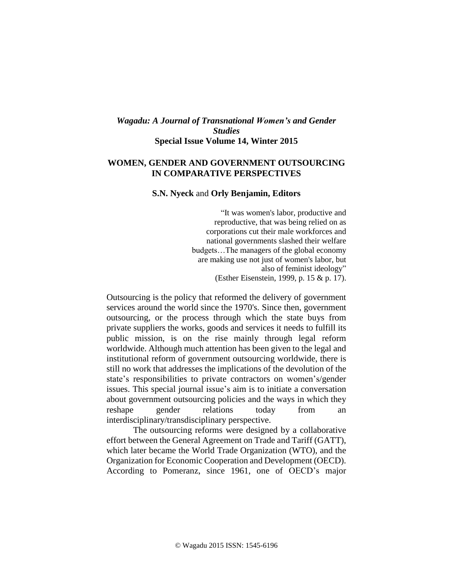## *Wagadu: A Journal of Transnational Women's and Gender Studies* **Special Issue Volume 14, Winter 2015**

## **WOMEN, GENDER AND GOVERNMENT OUTSOURCING IN COMPARATIVE PERSPECTIVES**

## **S.N. Nyeck** and **Orly Benjamin, Editors**

"It was women's labor, productive and reproductive, that was being relied on as corporations cut their male workforces and national governments slashed their welfare budgets…The managers of the global economy are making use not just of women's labor, but also of feminist ideology" (Esther Eisenstein, 1999, p. 15 & p. 17).

Outsourcing is the policy that reformed the delivery of government services around the world since the 1970's. Since then, government outsourcing, or the process through which the state buys from private suppliers the works, goods and services it needs to fulfill its public mission, is on the rise mainly through legal reform worldwide. Although much attention has been given to the legal and institutional reform of government outsourcing worldwide, there is still no work that addresses the implications of the devolution of the state's responsibilities to private contractors on women's/gender issues. This special journal issue's aim is to initiate a conversation about government outsourcing policies and the ways in which they reshape gender relations today from an interdisciplinary/transdisciplinary perspective.

The outsourcing reforms were designed by a collaborative effort between the General Agreement on Trade and Tariff (GATT), which later became the World Trade Organization (WTO), and the Organization for Economic Cooperation and Development (OECD). According to Pomeranz, since 1961, one of OECD's major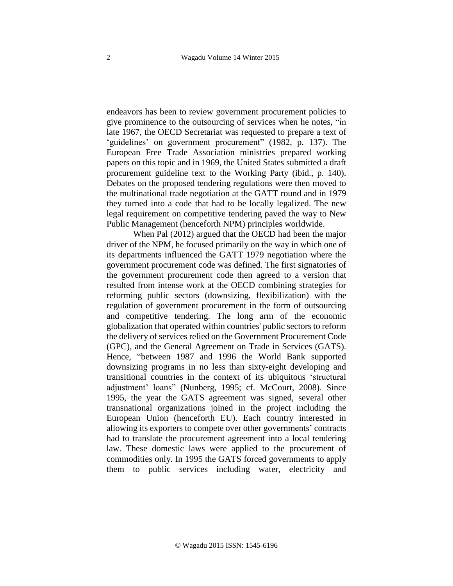endeavors has been to review government procurement policies to give prominence to the outsourcing of services when he notes, "in late 1967, the OECD Secretariat was requested to prepare a text of 'guidelines' on government procurement" (1982, p. 137). The European Free Trade Association ministries prepared working papers on this topic and in 1969, the United States submitted a draft procurement guideline text to the Working Party (ibid., p. 140). Debates on the proposed tendering regulations were then moved to the multinational trade negotiation at the GATT round and in 1979 they turned into a code that had to be locally legalized. The new legal requirement on competitive tendering paved the way to New Public Management (henceforth NPM) principles worldwide.

When Pal (2012) argued that the OECD had been the major driver of the NPM, he focused primarily on the way in which one of its departments influenced the GATT 1979 negotiation where the government procurement code was defined. The first signatories of the government procurement code then agreed to a version that resulted from intense work at the OECD combining strategies for reforming public sectors (downsizing, flexibilization) with the regulation of government procurement in the form of outsourcing and competitive tendering. The long arm of the economic globalization that operated within countries' public sectors to reform the delivery of services relied on the Government Procurement Code (GPC), and the General Agreement on Trade in Services (GATS). Hence, "between 1987 and 1996 the World Bank supported downsizing programs in no less than sixty-eight developing and transitional countries in the context of its ubiquitous 'structural adjustment' loans" (Nunberg, 1995; cf. McCourt, 2008). Since 1995, the year the GATS agreement was signed, several other transnational organizations joined in the project including the European Union (henceforth EU). Each country interested in allowing its exporters to compete over other governments' contracts had to translate the procurement agreement into a local tendering law. These domestic laws were applied to the procurement of commodities only. In 1995 the GATS forced governments to apply them to public services including water, electricity and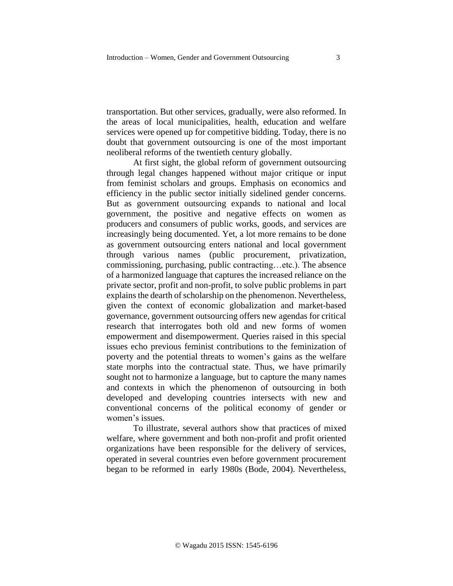transportation. But other services, gradually, were also reformed. In the areas of local municipalities, health, education and welfare services were opened up for competitive bidding. Today, there is no doubt that government outsourcing is one of the most important neoliberal reforms of the twentieth century globally.

At first sight, the global reform of government outsourcing through legal changes happened without major critique or input from feminist scholars and groups. Emphasis on economics and efficiency in the public sector initially sidelined gender concerns. But as government outsourcing expands to national and local government, the positive and negative effects on women as producers and consumers of public works, goods, and services are increasingly being documented. Yet, a lot more remains to be done as government outsourcing enters national and local government through various names (public procurement, privatization, commissioning, purchasing, public contracting…etc.). The absence of a harmonized language that captures the increased reliance on the private sector, profit and non-profit, to solve public problems in part explains the dearth of scholarship on the phenomenon. Nevertheless, given the context of economic globalization and market-based governance, government outsourcing offers new agendas for critical research that interrogates both old and new forms of women empowerment and disempowerment. Queries raised in this special issues echo previous feminist contributions to the feminization of poverty and the potential threats to women's gains as the welfare state morphs into the contractual state. Thus, we have primarily sought not to harmonize a language, but to capture the many names and contexts in which the phenomenon of outsourcing in both developed and developing countries intersects with new and conventional concerns of the political economy of gender or women's issues.

To illustrate, several authors show that practices of mixed welfare, where government and both non-profit and profit oriented organizations have been responsible for the delivery of services, operated in several countries even before government procurement began to be reformed in early 1980s (Bode, 2004). Nevertheless,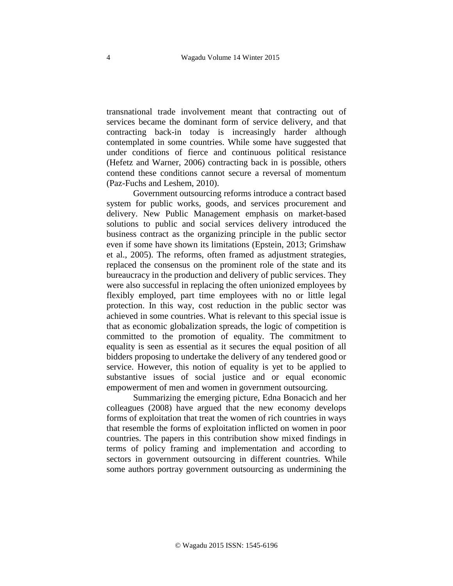transnational trade involvement meant that contracting out of services became the dominant form of service delivery, and that contracting back-in today is increasingly harder although contemplated in some countries. While some have suggested that under conditions of fierce and continuous political resistance (Hefetz and Warner, 2006) contracting back in is possible, others contend these conditions cannot secure a reversal of momentum (Paz-Fuchs and Leshem, 2010).

Government outsourcing reforms introduce a contract based system for public works, goods, and services procurement and delivery. New Public Management emphasis on market-based solutions to public and social services delivery introduced the business contract as the organizing principle in the public sector even if some have shown its limitations (Epstein, 2013; Grimshaw et al., 2005). The reforms, often framed as adjustment strategies, replaced the consensus on the prominent role of the state and its bureaucracy in the production and delivery of public services. They were also successful in replacing the often unionized employees by flexibly employed, part time employees with no or little legal protection. In this way, cost reduction in the public sector was achieved in some countries. What is relevant to this special issue is that as economic globalization spreads, the logic of competition is committed to the promotion of equality. The commitment to equality is seen as essential as it secures the equal position of all bidders proposing to undertake the delivery of any tendered good or service. However, this notion of equality is yet to be applied to substantive issues of social justice and or equal economic empowerment of men and women in government outsourcing.

Summarizing the emerging picture, Edna Bonacich and her colleagues (2008) have argued that the new economy develops forms of exploitation that treat the women of rich countries in ways that resemble the forms of exploitation inflicted on women in poor countries. The papers in this contribution show mixed findings in terms of policy framing and implementation and according to sectors in government outsourcing in different countries. While some authors portray government outsourcing as undermining the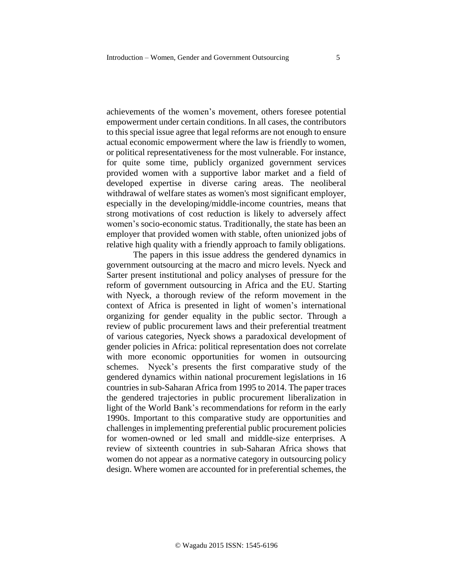achievements of the women's movement, others foresee potential empowerment under certain conditions. In all cases, the contributors to this special issue agree that legal reforms are not enough to ensure actual economic empowerment where the law is friendly to women, or political representativeness for the most vulnerable. For instance, for quite some time, publicly organized government services provided women with a supportive labor market and a field of developed expertise in diverse caring areas. The neoliberal withdrawal of welfare states as women's most significant employer, especially in the developing/middle-income countries, means that strong motivations of cost reduction is likely to adversely affect women's socio-economic status. Traditionally, the state has been an employer that provided women with stable, often unionized jobs of relative high quality with a friendly approach to family obligations.

The papers in this issue address the gendered dynamics in government outsourcing at the macro and micro levels. Nyeck and Sarter present institutional and policy analyses of pressure for the reform of government outsourcing in Africa and the EU. Starting with Nyeck, a thorough review of the reform movement in the context of Africa is presented in light of women's international organizing for gender equality in the public sector. Through a review of public procurement laws and their preferential treatment of various categories, Nyeck shows a paradoxical development of gender policies in Africa: political representation does not correlate with more economic opportunities for women in outsourcing schemes. Nyeck's presents the first comparative study of the gendered dynamics within national procurement legislations in 16 countries in sub-Saharan Africa from 1995 to 2014. The paper traces the gendered trajectories in public procurement liberalization in light of the World Bank's recommendations for reform in the early 1990s. Important to this comparative study are opportunities and challenges in implementing preferential public procurement policies for women-owned or led small and middle-size enterprises. A review of sixteenth countries in sub-Saharan Africa shows that women do not appear as a normative category in outsourcing policy design. Where women are accounted for in preferential schemes, the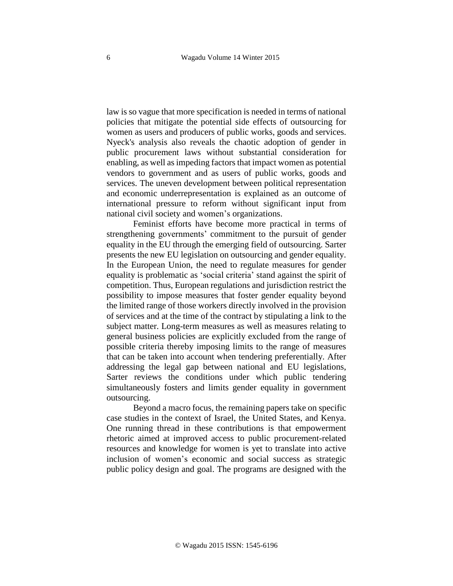law is so vague that more specification is needed in terms of national policies that mitigate the potential side effects of outsourcing for women as users and producers of public works, goods and services. Nyeck's analysis also reveals the chaotic adoption of gender in public procurement laws without substantial consideration for enabling, as well as impeding factors that impact women as potential vendors to government and as users of public works, goods and services. The uneven development between political representation and economic underrepresentation is explained as an outcome of international pressure to reform without significant input from national civil society and women's organizations.

Feminist efforts have become more practical in terms of strengthening governments' commitment to the pursuit of gender equality in the EU through the emerging field of outsourcing. Sarter presents the new EU legislation on outsourcing and gender equality. In the European Union, the need to regulate measures for gender equality is problematic as 'social criteria' stand against the spirit of competition. Thus, European regulations and jurisdiction restrict the possibility to impose measures that foster gender equality beyond the limited range of those workers directly involved in the provision of services and at the time of the contract by stipulating a link to the subject matter. Long-term measures as well as measures relating to general business policies are explicitly excluded from the range of possible criteria thereby imposing limits to the range of measures that can be taken into account when tendering preferentially. After addressing the legal gap between national and EU legislations, Sarter reviews the conditions under which public tendering simultaneously fosters and limits gender equality in government outsourcing.

Beyond a macro focus, the remaining papers take on specific case studies in the context of Israel, the United States, and Kenya. One running thread in these contributions is that empowerment rhetoric aimed at improved access to public procurement-related resources and knowledge for women is yet to translate into active inclusion of women's economic and social success as strategic public policy design and goal. The programs are designed with the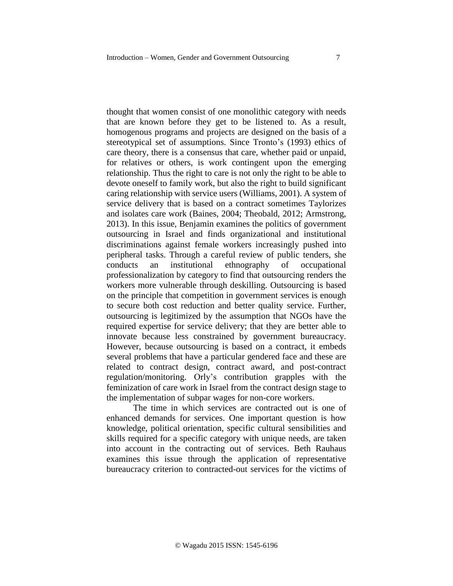thought that women consist of one monolithic category with needs that are known before they get to be listened to. As a result, homogenous programs and projects are designed on the basis of a stereotypical set of assumptions. Since Tronto's (1993) ethics of care theory, there is a consensus that care, whether paid or unpaid, for relatives or others, is work contingent upon the emerging relationship. Thus the right to care is not only the right to be able to devote oneself to family work, but also the right to build significant caring relationship with service users (Williams, 2001). A system of service delivery that is based on a contract sometimes Taylorizes and isolates care work (Baines, 2004; Theobald, 2012; Armstrong, 2013). In this issue, Benjamin examines the politics of government outsourcing in Israel and finds organizational and institutional discriminations against female workers increasingly pushed into peripheral tasks. Through a careful review of public tenders, she conducts an institutional ethnography of occupational professionalization by category to find that outsourcing renders the workers more vulnerable through deskilling. Outsourcing is based on the principle that competition in government services is enough to secure both cost reduction and better quality service. Further, outsourcing is legitimized by the assumption that NGOs have the required expertise for service delivery; that they are better able to innovate because less constrained by government bureaucracy. However, because outsourcing is based on a contract, it embeds several problems that have a particular gendered face and these are related to contract design, contract award, and post-contract regulation/monitoring. Orly's contribution grapples with the feminization of care work in Israel from the contract design stage to the implementation of subpar wages for non-core workers.

The time in which services are contracted out is one of enhanced demands for services. One important question is how knowledge, political orientation, specific cultural sensibilities and skills required for a specific category with unique needs, are taken into account in the contracting out of services. Beth Rauhaus examines this issue through the application of representative bureaucracy criterion to contracted-out services for the victims of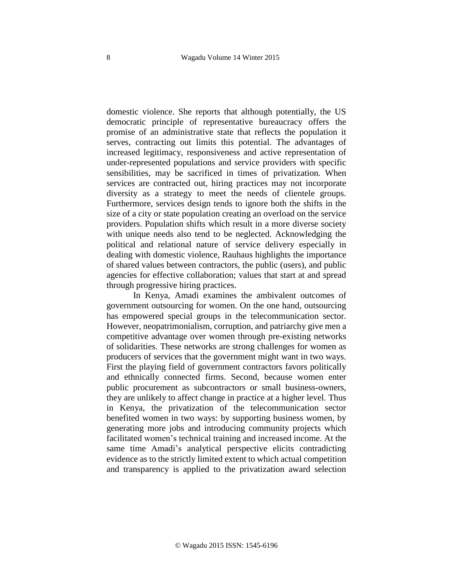domestic violence. She reports that although potentially, the US democratic principle of representative bureaucracy offers the promise of an administrative state that reflects the population it serves, contracting out limits this potential. The advantages of increased legitimacy, responsiveness and active representation of under-represented populations and service providers with specific sensibilities, may be sacrificed in times of privatization. When services are contracted out, hiring practices may not incorporate diversity as a strategy to meet the needs of clientele groups. Furthermore, services design tends to ignore both the shifts in the size of a city or state population creating an overload on the service providers. Population shifts which result in a more diverse society with unique needs also tend to be neglected. Acknowledging the political and relational nature of service delivery especially in dealing with domestic violence, Rauhaus highlights the importance of shared values between contractors, the public (users), and public agencies for effective collaboration; values that start at and spread through progressive hiring practices.

In Kenya, Amadi examines the ambivalent outcomes of government outsourcing for women. On the one hand, outsourcing has empowered special groups in the telecommunication sector. However, neopatrimonialism, corruption, and patriarchy give men a competitive advantage over women through pre-existing networks of solidarities. These networks are strong challenges for women as producers of services that the government might want in two ways. First the playing field of government contractors favors politically and ethnically connected firms. Second, because women enter public procurement as subcontractors or small business-owners, they are unlikely to affect change in practice at a higher level. Thus in Kenya, the privatization of the telecommunication sector benefited women in two ways: by supporting business women, by generating more jobs and introducing community projects which facilitated women's technical training and increased income. At the same time Amadi's analytical perspective elicits contradicting evidence as to the strictly limited extent to which actual competition and transparency is applied to the privatization award selection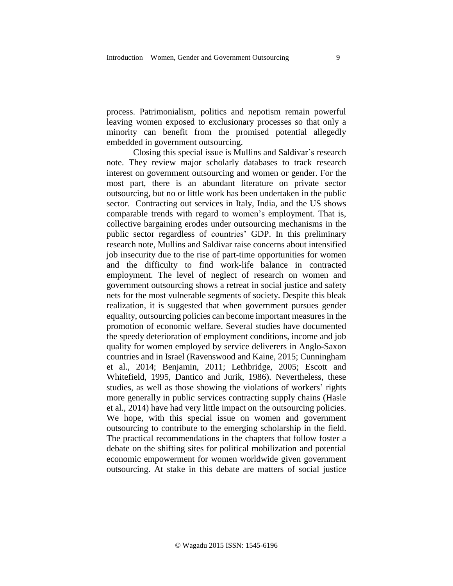process. Patrimonialism, politics and nepotism remain powerful leaving women exposed to exclusionary processes so that only a minority can benefit from the promised potential allegedly embedded in government outsourcing.

Closing this special issue is Mullins and Saldivar's research note. They review major scholarly databases to track research interest on government outsourcing and women or gender. For the most part, there is an abundant literature on private sector outsourcing, but no or little work has been undertaken in the public sector. Contracting out services in Italy, India, and the US shows comparable trends with regard to women's employment. That is, collective bargaining erodes under outsourcing mechanisms in the public sector regardless of countries' GDP. In this preliminary research note, Mullins and Saldivar raise concerns about intensified job insecurity due to the rise of part-time opportunities for women and the difficulty to find work-life balance in contracted employment. The level of neglect of research on women and government outsourcing shows a retreat in social justice and safety nets for the most vulnerable segments of society. Despite this bleak realization, it is suggested that when government pursues gender equality, outsourcing policies can become important measures in the promotion of economic welfare. Several studies have documented the speedy deterioration of employment conditions, income and job quality for women employed by service deliverers in Anglo-Saxon countries and in Israel (Ravenswood and Kaine, 2015; Cunningham et al., 2014; Benjamin, 2011; Lethbridge, 2005; Escott and Whitefield, 1995, Dantico and Jurik, 1986). Nevertheless, these studies, as well as those showing the violations of workers' rights more generally in public services contracting supply chains (Hasle et al., 2014) have had very little impact on the outsourcing policies. We hope, with this special issue on women and government outsourcing to contribute to the emerging scholarship in the field. The practical recommendations in the chapters that follow foster a debate on the shifting sites for political mobilization and potential economic empowerment for women worldwide given government outsourcing. At stake in this debate are matters of social justice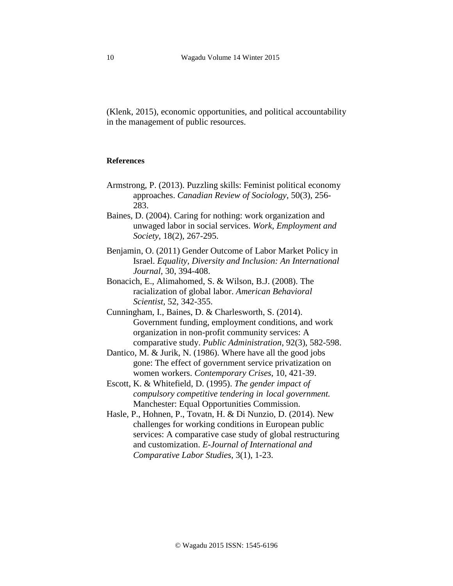(Klenk, 2015), economic opportunities, and political accountability in the management of public resources.

## **References**

- Armstrong, P. (2013). Puzzling skills: Feminist political economy approaches. *Canadian Review of Sociology*, 50(3), 256- 283.
- Baines, D. (2004). Caring for nothing: work organization and unwaged labor in social services. *Work, Employment and Society*, 18(2), 267-295.
- Benjamin, O. (2011) Gender Outcome of Labor Market Policy in Israel. *Equality, Diversity and Inclusion: An International Journal*, 30, 394-408.
- Bonacich, E., Alimahomed, S. & Wilson, B.J. (2008). The racialization of global labor. *American Behavioral Scientist,* 52, 342-355.
- Cunningham, I., Baines, D. & Charlesworth, S. (2014). Government funding, employment conditions, and work organization in non-profit community services: A comparative study. *Public Administration*, 92(3), 582-598.
- Dantico, M. & Jurik, N. (1986). Where have all the good jobs gone: The effect of government service privatization on women workers. *Contemporary Crises*, 10, 421-39.
- Escott, K. & Whitefield, D. (1995). *The gender impact of compulsory competitive tendering in local government.* Manchester: Equal Opportunities Commission.
- Hasle, P., Hohnen, P., Tovatn, H. & Di Nunzio, D. (2014). New challenges for working conditions in European public services: A comparative case study of global restructuring and customization. *E-Journal of International and Comparative Labor Studies,* 3(1), 1-23.